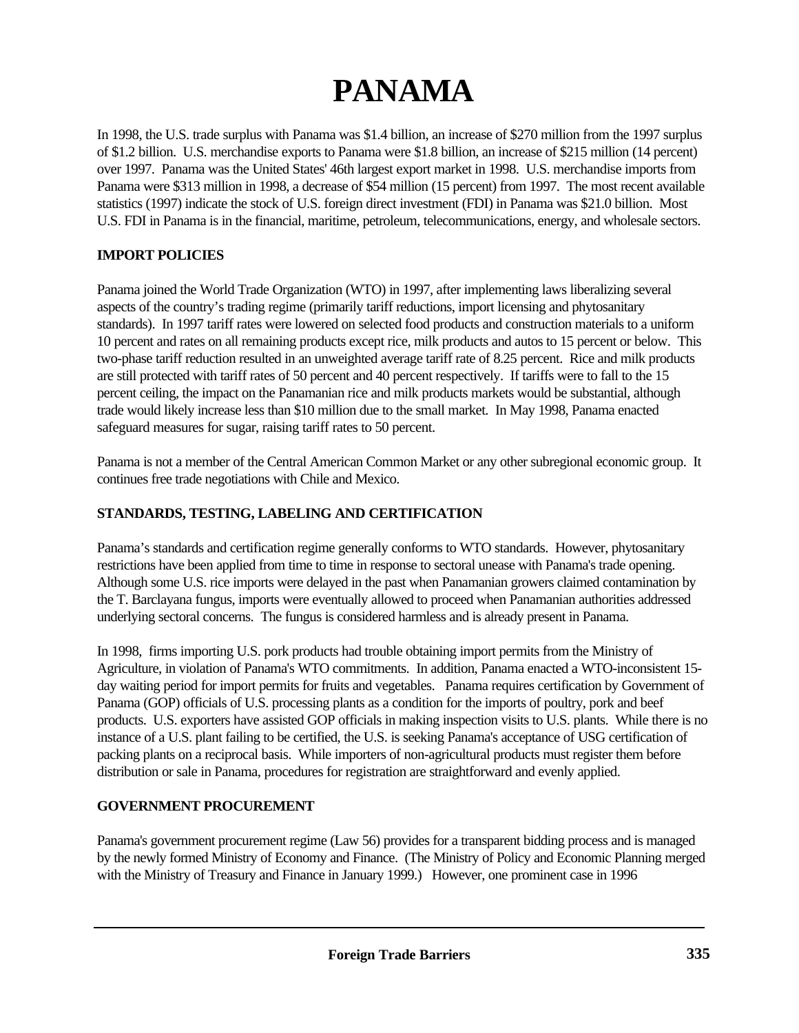# **PANAMA**

In 1998, the U.S. trade surplus with Panama was \$1.4 billion, an increase of \$270 million from the 1997 surplus of \$1.2 billion. U.S. merchandise exports to Panama were \$1.8 billion, an increase of \$215 million (14 percent) over 1997. Panama was the United States' 46th largest export market in 1998. U.S. merchandise imports from Panama were \$313 million in 1998, a decrease of \$54 million (15 percent) from 1997. The most recent available statistics (1997) indicate the stock of U.S. foreign direct investment (FDI) in Panama was \$21.0 billion. Most U.S. FDI in Panama is in the financial, maritime, petroleum, telecommunications, energy, and wholesale sectors.

## **IMPORT POLICIES**

Panama joined the World Trade Organization (WTO) in 1997, after implementing laws liberalizing several aspects of the country's trading regime (primarily tariff reductions, import licensing and phytosanitary standards). In 1997 tariff rates were lowered on selected food products and construction materials to a uniform 10 percent and rates on all remaining products except rice, milk products and autos to 15 percent or below. This two-phase tariff reduction resulted in an unweighted average tariff rate of 8.25 percent. Rice and milk products are still protected with tariff rates of 50 percent and 40 percent respectively. If tariffs were to fall to the 15 percent ceiling, the impact on the Panamanian rice and milk products markets would be substantial, although trade would likely increase less than \$10 million due to the small market. In May 1998, Panama enacted safeguard measures for sugar, raising tariff rates to 50 percent.

Panama is not a member of the Central American Common Market or any other subregional economic group. It continues free trade negotiations with Chile and Mexico.

### **STANDARDS, TESTING, LABELING AND CERTIFICATION**

Panama's standards and certification regime generally conforms to WTO standards. However, phytosanitary restrictions have been applied from time to time in response to sectoral unease with Panama's trade opening. Although some U.S. rice imports were delayed in the past when Panamanian growers claimed contamination by the T. Barclayana fungus, imports were eventually allowed to proceed when Panamanian authorities addressed underlying sectoral concerns. The fungus is considered harmless and is already present in Panama.

In 1998, firms importing U.S. pork products had trouble obtaining import permits from the Ministry of Agriculture, in violation of Panama's WTO commitments. In addition, Panama enacted a WTO-inconsistent 15 day waiting period for import permits for fruits and vegetables. Panama requires certification by Government of Panama (GOP) officials of U.S. processing plants as a condition for the imports of poultry, pork and beef products. U.S. exporters have assisted GOP officials in making inspection visits to U.S. plants. While there is no instance of a U.S. plant failing to be certified, the U.S. is seeking Panama's acceptance of USG certification of packing plants on a reciprocal basis. While importers of non-agricultural products must register them before distribution or sale in Panama, procedures for registration are straightforward and evenly applied.

### **GOVERNMENT PROCUREMENT**

Panama's government procurement regime (Law 56) provides for a transparent bidding process and is managed by the newly formed Ministry of Economy and Finance. (The Ministry of Policy and Economic Planning merged with the Ministry of Treasury and Finance in January 1999.) However, one prominent case in 1996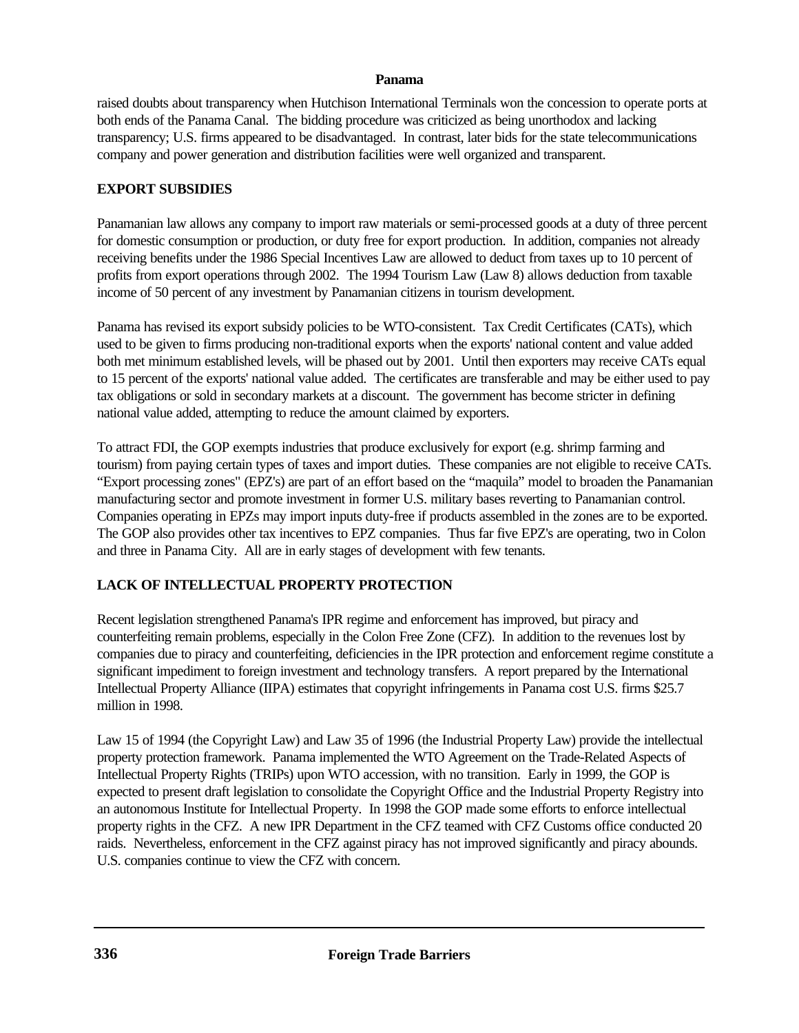#### **Panama**

raised doubts about transparency when Hutchison International Terminals won the concession to operate ports at both ends of the Panama Canal. The bidding procedure was criticized as being unorthodox and lacking transparency; U.S. firms appeared to be disadvantaged. In contrast, later bids for the state telecommunications company and power generation and distribution facilities were well organized and transparent.

## **EXPORT SUBSIDIES**

Panamanian law allows any company to import raw materials or semi-processed goods at a duty of three percent for domestic consumption or production, or duty free for export production. In addition, companies not already receiving benefits under the 1986 Special Incentives Law are allowed to deduct from taxes up to 10 percent of profits from export operations through 2002. The 1994 Tourism Law (Law 8) allows deduction from taxable income of 50 percent of any investment by Panamanian citizens in tourism development.

Panama has revised its export subsidy policies to be WTO-consistent. Tax Credit Certificates (CATs), which used to be given to firms producing non-traditional exports when the exports' national content and value added both met minimum established levels, will be phased out by 2001. Until then exporters may receive CATs equal to 15 percent of the exports' national value added. The certificates are transferable and may be either used to pay tax obligations or sold in secondary markets at a discount. The government has become stricter in defining national value added, attempting to reduce the amount claimed by exporters.

To attract FDI, the GOP exempts industries that produce exclusively for export (e.g. shrimp farming and tourism) from paying certain types of taxes and import duties. These companies are not eligible to receive CATs. "Export processing zones" (EPZ's) are part of an effort based on the "maquila" model to broaden the Panamanian manufacturing sector and promote investment in former U.S. military bases reverting to Panamanian control. Companies operating in EPZs may import inputs duty-free if products assembled in the zones are to be exported. The GOP also provides other tax incentives to EPZ companies. Thus far five EPZ's are operating, two in Colon and three in Panama City. All are in early stages of development with few tenants.

# **LACK OF INTELLECTUAL PROPERTY PROTECTION**

Recent legislation strengthened Panama's IPR regime and enforcement has improved, but piracy and counterfeiting remain problems, especially in the Colon Free Zone (CFZ). In addition to the revenues lost by companies due to piracy and counterfeiting, deficiencies in the IPR protection and enforcement regime constitute a significant impediment to foreign investment and technology transfers. A report prepared by the International Intellectual Property Alliance (IIPA) estimates that copyright infringements in Panama cost U.S. firms \$25.7 million in 1998.

Law 15 of 1994 (the Copyright Law) and Law 35 of 1996 (the Industrial Property Law) provide the intellectual property protection framework. Panama implemented the WTO Agreement on the Trade-Related Aspects of Intellectual Property Rights (TRIPs) upon WTO accession, with no transition. Early in 1999, the GOP is expected to present draft legislation to consolidate the Copyright Office and the Industrial Property Registry into an autonomous Institute for Intellectual Property. In 1998 the GOP made some efforts to enforce intellectual property rights in the CFZ. A new IPR Department in the CFZ teamed with CFZ Customs office conducted 20 raids. Nevertheless, enforcement in the CFZ against piracy has not improved significantly and piracy abounds. U.S. companies continue to view the CFZ with concern.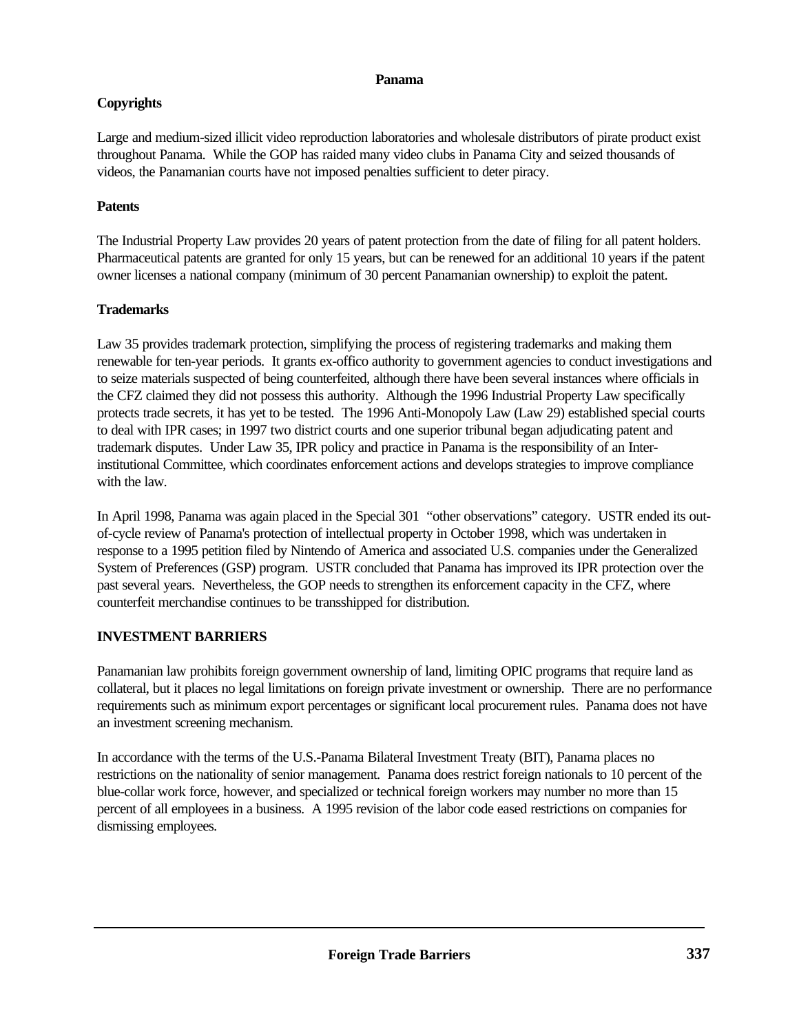#### **Panama**

# **Copyrights**

Large and medium-sized illicit video reproduction laboratories and wholesale distributors of pirate product exist throughout Panama. While the GOP has raided many video clubs in Panama City and seized thousands of videos, the Panamanian courts have not imposed penalties sufficient to deter piracy.

# **Patents**

The Industrial Property Law provides 20 years of patent protection from the date of filing for all patent holders. Pharmaceutical patents are granted for only 15 years, but can be renewed for an additional 10 years if the patent owner licenses a national company (minimum of 30 percent Panamanian ownership) to exploit the patent.

# **Trademarks**

Law 35 provides trademark protection, simplifying the process of registering trademarks and making them renewable for ten-year periods. It grants ex-offico authority to government agencies to conduct investigations and to seize materials suspected of being counterfeited, although there have been several instances where officials in the CFZ claimed they did not possess this authority. Although the 1996 Industrial Property Law specifically protects trade secrets, it has yet to be tested. The 1996 Anti-Monopoly Law (Law 29) established special courts to deal with IPR cases; in 1997 two district courts and one superior tribunal began adjudicating patent and trademark disputes. Under Law 35, IPR policy and practice in Panama is the responsibility of an Interinstitutional Committee, which coordinates enforcement actions and develops strategies to improve compliance with the law.

In April 1998, Panama was again placed in the Special 301 "other observations" category. USTR ended its outof-cycle review of Panama's protection of intellectual property in October 1998, which was undertaken in response to a 1995 petition filed by Nintendo of America and associated U.S. companies under the Generalized System of Preferences (GSP) program. USTR concluded that Panama has improved its IPR protection over the past several years. Nevertheless, the GOP needs to strengthen its enforcement capacity in the CFZ, where counterfeit merchandise continues to be transshipped for distribution.

# **INVESTMENT BARRIERS**

Panamanian law prohibits foreign government ownership of land, limiting OPIC programs that require land as collateral, but it places no legal limitations on foreign private investment or ownership. There are no performance requirements such as minimum export percentages or significant local procurement rules. Panama does not have an investment screening mechanism.

In accordance with the terms of the U.S.-Panama Bilateral Investment Treaty (BIT), Panama places no restrictions on the nationality of senior management. Panama does restrict foreign nationals to 10 percent of the blue-collar work force, however, and specialized or technical foreign workers may number no more than 15 percent of all employees in a business. A 1995 revision of the labor code eased restrictions on companies for dismissing employees.